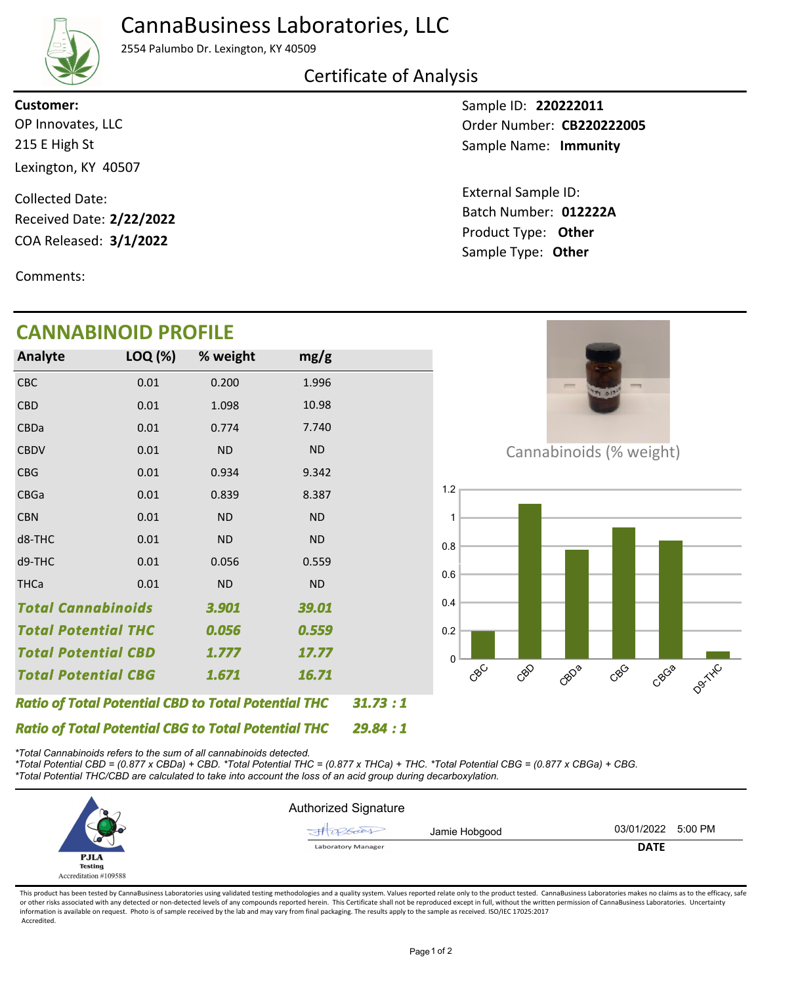## CannaBusiness Laboratories, LLC



2554 Palumbo Dr. Lexington, KY 40509

### Certificate of Analysis

215 E High St Lexington, KY 40507 OP Innovates, LLC **Customer:**

COA Released: 3/1/2022 Collected Date: Received Date: **2/22/2022**

Comments:

# **CANNABINOID PROFILE**

Sample ID: **220222011** Sample Name: Immunity Order Number: CB220222005

Product Type: **Other 3/1/2022 012222A** Batch Number: External Sample ID: Sample Type: **Other**

| CANNADHWOID FINOLILL                                       |         |           |           |  |  |
|------------------------------------------------------------|---------|-----------|-----------|--|--|
| Analyte                                                    | LOQ (%) | % weight  | mg/g      |  |  |
| CBC                                                        | 0.01    | 0.200     | 1.996     |  |  |
| <b>CBD</b>                                                 | 0.01    | 1.098     | 10.98     |  |  |
| <b>CBDa</b>                                                | 0.01    | 0.774     | 7.740     |  |  |
| <b>CBDV</b>                                                | 0.01    | <b>ND</b> | <b>ND</b> |  |  |
| <b>CBG</b>                                                 | 0.01    | 0.934     | 9.342     |  |  |
| <b>CBGa</b>                                                | 0.01    | 0.839     | 8.387     |  |  |
| <b>CBN</b>                                                 | 0.01    | <b>ND</b> | <b>ND</b> |  |  |
| d8-THC                                                     | 0.01    | <b>ND</b> | <b>ND</b> |  |  |
| d9-THC                                                     | 0.01    | 0.056     | 0.559     |  |  |
| <b>THCa</b>                                                | 0.01    | <b>ND</b> | <b>ND</b> |  |  |
| <b>Total Cannabinoids</b>                                  |         | 3.901     | 39.01     |  |  |
| <b>Total Potential THC</b>                                 |         | 0.056     | 0.559     |  |  |
| Total Potential CBD                                        |         | 1.777     | 17.77     |  |  |
| Total Potential CBG                                        |         | 1.671     | 16.71     |  |  |
| <b>Ratio of Total Potential CBD to Total Potential THC</b> |         |           |           |  |  |



Cannabinoids (% weight)



*\*Total Cannabinoids refers to the sum of all cannabinoids detected.*

*Ratio of Total Potential CBG to Total Potential THC*

*\*Total Potential CBD = (0.877 x CBDa) + CBD. \*Total Potential THC = (0.877 x THCa) + THC. \*Total Potential CBG = (0.877 x CBGa) + CBG. \*Total Potential THC/CBD are calculated to take into account the loss of an acid group during decarboxylation.*



*29.84 : 1*

*: 1*

This product has been tested by CannaBusiness Laboratories using validated testing methodologies and a quality system. Values reported relate only to the product tested. CannaBusiness Laboratories makes no claims as to the or other risks associated with any detected or non-detected levels of any compounds reported herein. This Certificate shall not be reproduced except in full, without the written permission of CannaBusiness Laboratories. Un information is available on request. Photo is of sample received by the lab and may vary from final packaging. The results apply to the sample as received. ISO/IEC 17025:2017 Accredited.